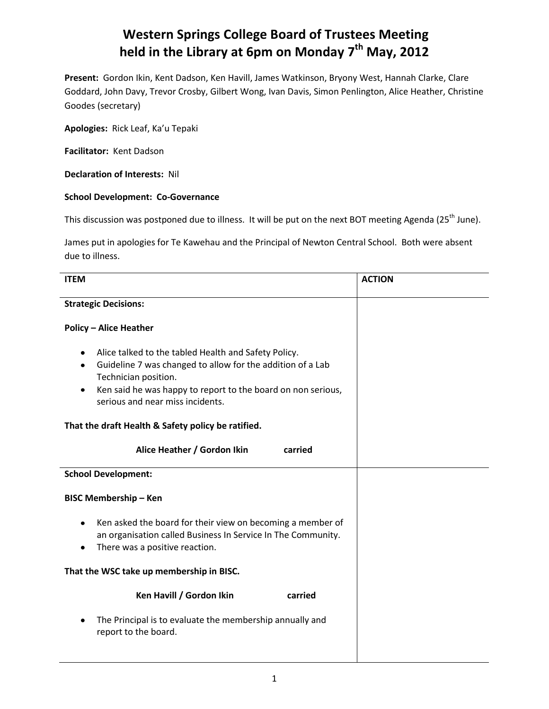## **Western Springs College Board of Trustees Meeting held in the Library at 6pm on Monday 7 th May, 2012**

**Present:** Gordon Ikin, Kent Dadson, Ken Havill, James Watkinson, Bryony West, Hannah Clarke, Clare Goddard, John Davy, Trevor Crosby, Gilbert Wong, Ivan Davis, Simon Penlington, Alice Heather, Christine Goodes (secretary)

**Apologies:** Rick Leaf, Ka'u Tepaki

**Facilitator:** Kent Dadson

**Declaration of Interests:** Nil

## **School Development: Co-Governance**

This discussion was postponed due to illness. It will be put on the next BOT meeting Agenda (25<sup>th</sup> June).

James put in apologies for Te Kawehau and the Principal of Newton Central School. Both were absent due to illness.

| <b>ITEM</b>                   |                                                                                                                                                                                                                                                | <b>ACTION</b> |  |  |
|-------------------------------|------------------------------------------------------------------------------------------------------------------------------------------------------------------------------------------------------------------------------------------------|---------------|--|--|
| <b>Strategic Decisions:</b>   |                                                                                                                                                                                                                                                |               |  |  |
| <b>Policy - Alice Heather</b> |                                                                                                                                                                                                                                                |               |  |  |
| ٠<br>٠<br>٠                   | Alice talked to the tabled Health and Safety Policy.<br>Guideline 7 was changed to allow for the addition of a Lab<br>Technician position.<br>Ken said he was happy to report to the board on non serious,<br>serious and near miss incidents. |               |  |  |
|                               | That the draft Health & Safety policy be ratified.                                                                                                                                                                                             |               |  |  |
|                               | Alice Heather / Gordon Ikin<br>carried                                                                                                                                                                                                         |               |  |  |
| <b>School Development:</b>    |                                                                                                                                                                                                                                                |               |  |  |
| <b>BISC Membership - Ken</b>  |                                                                                                                                                                                                                                                |               |  |  |
| $\bullet$                     | Ken asked the board for their view on becoming a member of<br>an organisation called Business In Service In The Community.<br>There was a positive reaction.                                                                                   |               |  |  |
|                               | That the WSC take up membership in BISC.                                                                                                                                                                                                       |               |  |  |
|                               | Ken Havill / Gordon Ikin<br>carried                                                                                                                                                                                                            |               |  |  |
|                               | The Principal is to evaluate the membership annually and<br>report to the board.                                                                                                                                                               |               |  |  |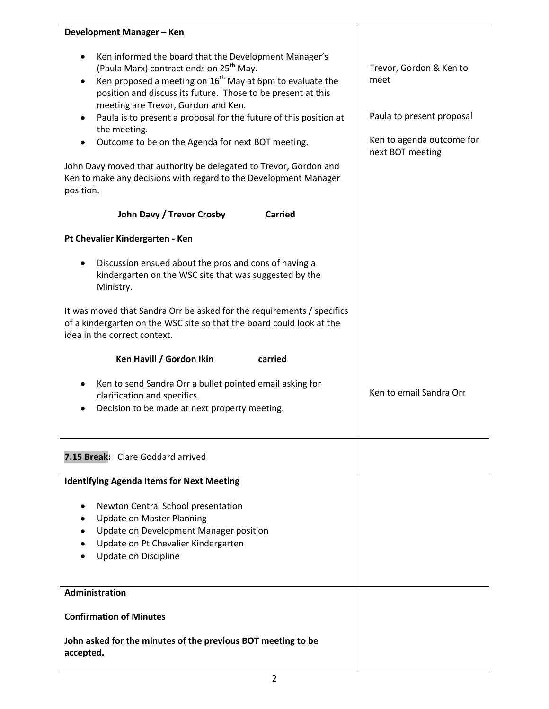| Development Manager - Ken                                                                                                                                                                                                                                                                                                                                                                                                                                                                                                                                                             |                                                                                                               |
|---------------------------------------------------------------------------------------------------------------------------------------------------------------------------------------------------------------------------------------------------------------------------------------------------------------------------------------------------------------------------------------------------------------------------------------------------------------------------------------------------------------------------------------------------------------------------------------|---------------------------------------------------------------------------------------------------------------|
| Ken informed the board that the Development Manager's<br>(Paula Marx) contract ends on 25 <sup>th</sup> May.<br>Ken proposed a meeting on $16^{th}$ May at 6pm to evaluate the<br>position and discuss its future. Those to be present at this<br>meeting are Trevor, Gordon and Ken.<br>Paula is to present a proposal for the future of this position at<br>the meeting.<br>Outcome to be on the Agenda for next BOT meeting.<br>John Davy moved that authority be delegated to Trevor, Gordon and<br>Ken to make any decisions with regard to the Development Manager<br>position. | Trevor, Gordon & Ken to<br>meet<br>Paula to present proposal<br>Ken to agenda outcome for<br>next BOT meeting |
| John Davy / Trevor Crosby<br><b>Carried</b>                                                                                                                                                                                                                                                                                                                                                                                                                                                                                                                                           |                                                                                                               |
| Pt Chevalier Kindergarten - Ken                                                                                                                                                                                                                                                                                                                                                                                                                                                                                                                                                       |                                                                                                               |
| Discussion ensued about the pros and cons of having a<br>kindergarten on the WSC site that was suggested by the<br>Ministry.                                                                                                                                                                                                                                                                                                                                                                                                                                                          |                                                                                                               |
| It was moved that Sandra Orr be asked for the requirements / specifics<br>of a kindergarten on the WSC site so that the board could look at the<br>idea in the correct context.                                                                                                                                                                                                                                                                                                                                                                                                       |                                                                                                               |
| Ken Havill / Gordon Ikin<br>carried                                                                                                                                                                                                                                                                                                                                                                                                                                                                                                                                                   |                                                                                                               |
| Ken to send Sandra Orr a bullet pointed email asking for<br>clarification and specifics.<br>Decision to be made at next property meeting.                                                                                                                                                                                                                                                                                                                                                                                                                                             | Ken to email Sandra Orr                                                                                       |
| 7.15 Break: Clare Goddard arrived                                                                                                                                                                                                                                                                                                                                                                                                                                                                                                                                                     |                                                                                                               |
| <b>Identifying Agenda Items for Next Meeting</b>                                                                                                                                                                                                                                                                                                                                                                                                                                                                                                                                      |                                                                                                               |
| Newton Central School presentation<br><b>Update on Master Planning</b><br>Update on Development Manager position<br>Update on Pt Chevalier Kindergarten<br>Update on Discipline                                                                                                                                                                                                                                                                                                                                                                                                       |                                                                                                               |
| Administration                                                                                                                                                                                                                                                                                                                                                                                                                                                                                                                                                                        |                                                                                                               |
| <b>Confirmation of Minutes</b>                                                                                                                                                                                                                                                                                                                                                                                                                                                                                                                                                        |                                                                                                               |
| John asked for the minutes of the previous BOT meeting to be<br>accepted.                                                                                                                                                                                                                                                                                                                                                                                                                                                                                                             |                                                                                                               |